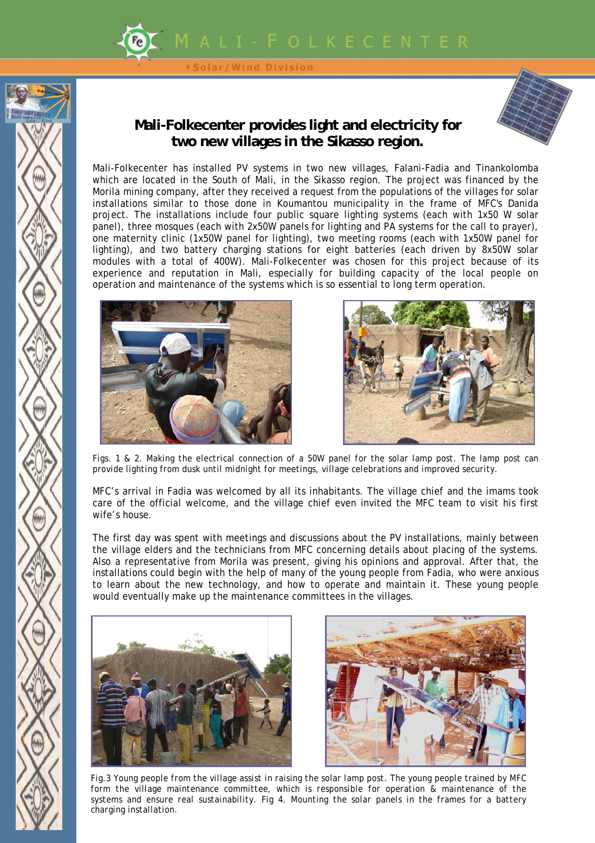

Solar/Wind Division

## **Mali-Folkecenter provides light and electricity for two new villages in the Sikasso region.**



Mali-Folkecenter has installed PV systems in two new villages, Falani-Fadia and Tinankolomba which are located in the South of Mali, in the Sikasso region. The project was financed by the Morila mining company, after they received a request from the populations of the villages for solar installations similar to those done in Koumantou municipality in the frame of MFC's Danida project. The installations include four public square lighting systems (each with 1x50 W solar panel), three mosques (each with 2x50W panels for lighting and PA systems for the call to prayer), one maternity clinic (1x50W panel for lighting), two meeting rooms (each with 1x50W panel for lighting), and two battery charging stations for eight batteries (each driven by 8x50W solar modules with a total of 400W). Mali-Folkecenter was chosen for this project because of its experience and reputation in Mali, especially for building capacity of the local people on operation and maintenance of the systems which is so essential to long term operation.





*Figs. 1 & 2. Making the electrical connection of a 50W panel for the solar lamp post. The lamp post can provide lighting from dusk until midnight for meetings, village celebrations and improved security.* 

MFC's arrival in Fadia was welcomed by all its inhabitants. The village chief and the imams took care of the official welcome, and the village chief even invited the MFC team to visit his first wife's house.

The first day was spent with meetings and discussions about the PV installations, mainly between the village elders and the technicians from MFC concerning details about placing of the systems. Also a representative from Morila was present, giving his opinions and approval. After that, the installations could begin with the help of many of the young people from Fadia, who were anxious to learn about the new technology, and how to operate and maintain it. These young people would eventually make up the maintenance committees in the villages.





*Fig.3 Young people from the village assist in raising the solar lamp post. The young people trained by MFC form the village maintenance committee, which is responsible for operation & maintenance of the systems and ensure real sustainability. Fig 4. Mounting the solar panels in the frames for a battery charging installation.*